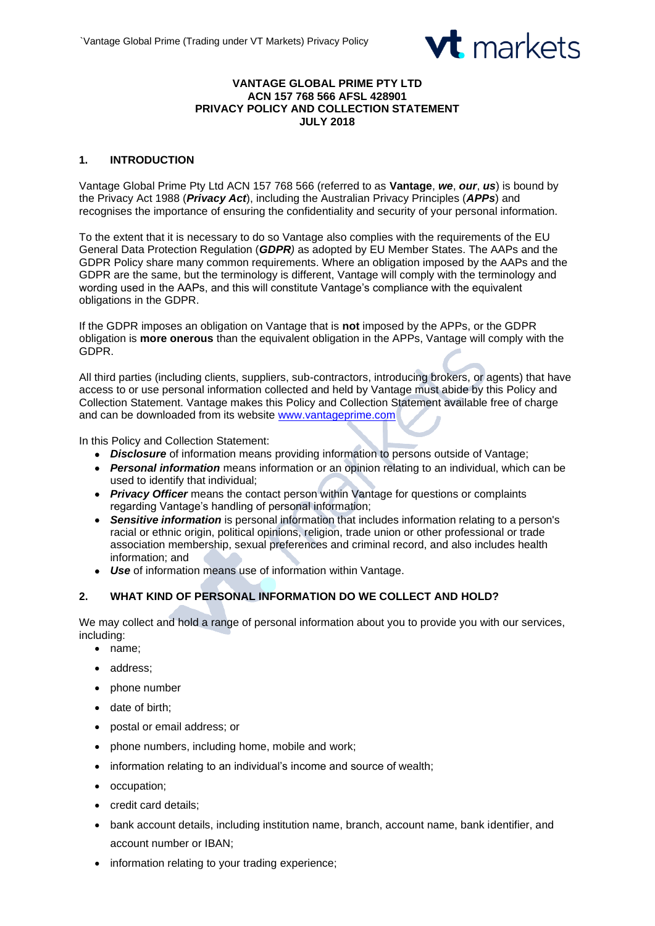

#### **VANTAGE GLOBAL PRIME PTY LTD ACN 157 768 566 AFSL 428901 PRIVACY POLICY AND COLLECTION STATEMENT JULY 2018**

# **1. INTRODUCTION**

Vantage Global Prime Pty Ltd ACN 157 768 566 (referred to as **Vantage**, *we*, *our*, *us*) is bound by the Privacy Act 1988 (*Privacy Act*), including the Australian Privacy Principles (*APPs*) and recognises the importance of ensuring the confidentiality and security of your personal information.

To the extent that it is necessary to do so Vantage also complies with the requirements of the EU General Data Protection Regulation (*GDPR)* as adopted by EU Member States. The AAPs and the GDPR Policy share many common requirements. Where an obligation imposed by the AAPs and the GDPR are the same, but the terminology is different, Vantage will comply with the terminology and wording used in the AAPs, and this will constitute Vantage's compliance with the equivalent obligations in the GDPR.

If the GDPR imposes an obligation on Vantage that is **not** imposed by the APPs, or the GDPR obligation is **more onerous** than the equivalent obligation in the APPs, Vantage will comply with the GDPR.

All third parties (including clients, suppliers, sub-contractors, introducing brokers, or agents) that have access to or use personal information collected and held by Vantage must abide by this Policy and Collection Statement. Vantage makes this Policy and Collection Statement available free of charge and can be downloaded from its website [www.vantageprime.com](http://www.vantageprime.com/)

In this Policy and Collection Statement:

- *Disclosure* of information means providing information to persons outside of Vantage;
- *Personal information* means information or an opinion relating to an individual, which can be used to identify that individual;
- *Privacy Officer* means the contact person within Vantage for questions or complaints regarding Vantage's handling of personal information;
- *Sensitive information* is personal information that includes information relating to a person's racial or ethnic origin, political opinions, religion, trade union or other professional or trade association membership, sexual preferences and criminal record, and also includes health information; and
- *Use* of information means use of information within Vantage.

## **2. WHAT KIND OF PERSONAL INFORMATION DO WE COLLECT AND HOLD?**

We may collect and hold a range of personal information about you to provide you with our services, including:

- name;
- address;
- phone number
- date of birth;
- postal or email address; or
- phone numbers, including home, mobile and work;
- information relating to an individual's income and source of wealth;
- occupation;
- credit card details;
- bank account details, including institution name, branch, account name, bank identifier, and account number or IBAN;
- information relating to your trading experience;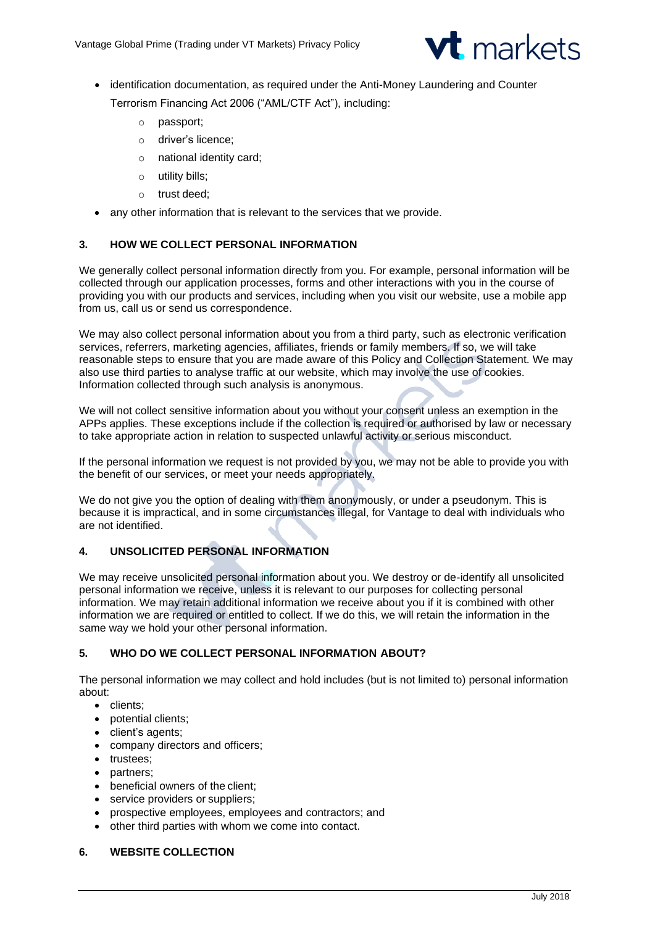

• identification documentation, as required under the Anti-Money Laundering and Counter

Terrorism Financing Act 2006 ("AML/CTF Act"), including:

- o passport;
- o driver's licence;
- o national identity card;
- o utility bills;
- o trust deed;
- any other information that is relevant to the services that we provide.

## **3. HOW WE COLLECT PERSONAL INFORMATION**

We generally collect personal information directly from you. For example, personal information will be collected through our application processes, forms and other interactions with you in the course of providing you with our products and services, including when you visit our website, use a mobile app from us, call us or send us correspondence.

We may also collect personal information about you from a third party, such as electronic verification services, referrers, marketing agencies, affiliates, friends or family members. If so, we will take reasonable steps to ensure that you are made aware of this Policy and Collection Statement. We may also use third parties to analyse traffic at our website, which may involve the use of cookies. Information collected through such analysis is anonymous.

We will not collect sensitive information about you without your consent unless an exemption in the APPs applies. These exceptions include if the collection is required or authorised by law or necessary to take appropriate action in relation to suspected unlawful activity or serious misconduct.

If the personal information we request is not provided by you, we may not be able to provide you with the benefit of our services, or meet your needs appropriately.

We do not give you the option of dealing with them anonymously, or under a pseudonym. This is because it is impractical, and in some circumstances illegal, for Vantage to deal with individuals who are not identified.

## **4. UNSOLICITED PERSONAL INFORMATION**

We may receive unsolicited personal information about you. We destroy or de-identify all unsolicited personal information we receive, unless it is relevant to our purposes for collecting personal information. We may retain additional information we receive about you if it is combined with other information we are required or entitled to collect. If we do this, we will retain the information in the same way we hold your other personal information.

## **5. WHO DO WE COLLECT PERSONAL INFORMATION ABOUT?**

The personal information we may collect and hold includes (but is not limited to) personal information about:

- clients;
- potential clients;
- client's agents;
- company directors and officers;
- trustees;
- partners;
- beneficial owners of the client;
- service providers or suppliers;
- prospective employees, employees and contractors; and
- other third parties with whom we come into contact.

## **6. WEBSITE COLLECTION**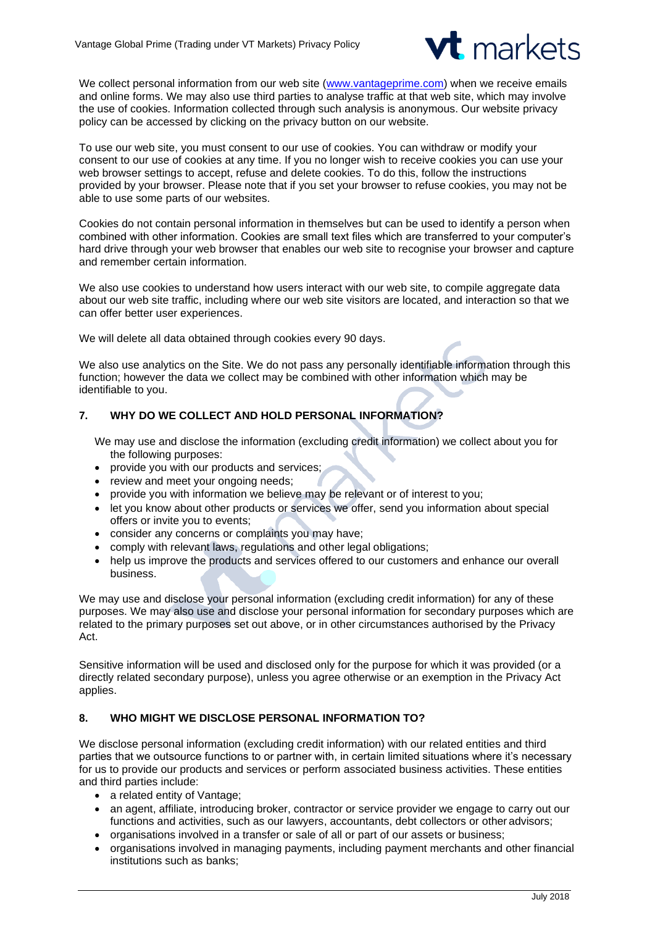

We collect personal information from our web site [\(www.vantageprime.com\)](http://www.vantageprime.com/) when we receive emails and online forms. We may also use third parties to analyse traffic at that web site, which may involve the use of cookies. Information collected through such analysis is anonymous. Our website privacy policy can be accessed by clicking on the privacy button on our website.

To use our web site, you must consent to our use of cookies. You can withdraw or modify your consent to our use of cookies at any time. If you no longer wish to receive cookies you can use your web browser settings to accept, refuse and delete cookies. To do this, follow the instructions provided by your browser. Please note that if you set your browser to refuse cookies, you may not be able to use some parts of our websites.

Cookies do not contain personal information in themselves but can be used to identify a person when combined with other information. Cookies are small text files which are transferred to your computer's hard drive through your web browser that enables our web site to recognise your browser and capture and remember certain information.

We also use cookies to understand how users interact with our web site, to compile aggregate data about our web site traffic, including where our web site visitors are located, and interaction so that we can offer better user experiences.

We will delete all data obtained through cookies every 90 days.

We also use analytics on the Site. We do not pass any personally identifiable information through this function; however the data we collect may be combined with other information which may be identifiable to you.

# **7. WHY DO WE COLLECT AND HOLD PERSONAL INFORMATION?**

We may use and disclose the information (excluding credit information) we collect about you for the following purposes:

- provide you with our products and services;
- review and meet your ongoing needs;
- provide you with information we believe may be relevant or of interest to you;
- let you know about other products or services we offer, send you information about special offers or invite you to events;
- consider any concerns or complaints you may have;
- comply with relevant laws, regulations and other legal obligations;
- help us improve the products and services offered to our customers and enhance our overall business.

We may use and disclose your personal information (excluding credit information) for any of these purposes. We may also use and disclose your personal information for secondary purposes which are related to the primary purposes set out above, or in other circumstances authorised by the Privacy Act.

Sensitive information will be used and disclosed only for the purpose for which it was provided (or a directly related secondary purpose), unless you agree otherwise or an exemption in the Privacy Act applies.

## **8. WHO MIGHT WE DISCLOSE PERSONAL INFORMATION TO?**

We disclose personal information (excluding credit information) with our related entities and third parties that we outsource functions to or partner with, in certain limited situations where it's necessary for us to provide our products and services or perform associated business activities. These entities and third parties include:

- a related entity of Vantage;
- an agent, affiliate, introducing broker, contractor or service provider we engage to carry out our functions and activities, such as our lawyers, accountants, debt collectors or other advisors;
- organisations involved in a transfer or sale of all or part of our assets or business;
- organisations involved in managing payments, including payment merchants and other financial institutions such as banks;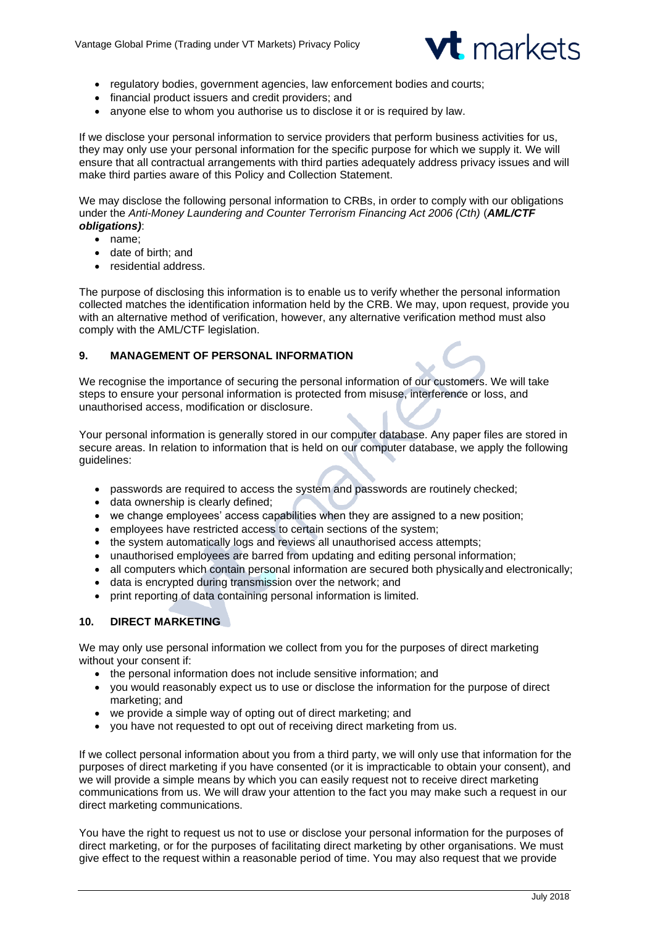

- regulatory bodies, government agencies, law enforcement bodies and courts;
- financial product issuers and credit providers; and
- anyone else to whom you authorise us to disclose it or is required by law.

If we disclose your personal information to service providers that perform business activities for us, they may only use your personal information for the specific purpose for which we supply it. We will ensure that all contractual arrangements with third parties adequately address privacy issues and will make third parties aware of this Policy and Collection Statement.

We may disclose the following personal information to CRBs, in order to comply with our obligations under the *Anti-Money Laundering and Counter Terrorism Financing Act 2006 (Cth)* (*AML/CTF obligations)*:

- name;
- date of birth; and
- residential address.

The purpose of disclosing this information is to enable us to verify whether the personal information collected matches the identification information held by the CRB. We may, upon request, provide you with an alternative method of verification, however, any alternative verification method must also comply with the AML/CTF legislation.

### **9. MANAGEMENT OF PERSONAL INFORMATION**

We recognise the importance of securing the personal information of our customers. We will take steps to ensure your personal information is protected from misuse, interference or loss, and unauthorised access, modification or disclosure.

Your personal information is generally stored in our computer database. Any paper files are stored in secure areas. In relation to information that is held on our computer database, we apply the following guidelines:

- passwords are required to access the system and passwords are routinely checked;
- data ownership is clearly defined;
- we change employees' access capabilities when they are assigned to a new position;
- employees have restricted access to certain sections of the system;
- the system automatically logs and reviews all unauthorised access attempts;
- unauthorised employees are barred from updating and editing personal information;
- all computers which contain personal information are secured both physically and electronically;
- data is encrypted during transmission over the network; and
- print reporting of data containing personal information is limited.

## **10. DIRECT MARKETING**

We may only use personal information we collect from you for the purposes of direct marketing without your consent if:

- the personal information does not include sensitive information; and
- you would reasonably expect us to use or disclose the information for the purpose of direct marketing; and
- we provide a simple way of opting out of direct marketing; and
- you have not requested to opt out of receiving direct marketing from us.

If we collect personal information about you from a third party, we will only use that information for the purposes of direct marketing if you have consented (or it is impracticable to obtain your consent), and we will provide a simple means by which you can easily request not to receive direct marketing communications from us. We will draw your attention to the fact you may make such a request in our direct marketing communications.

You have the right to request us not to use or disclose your personal information for the purposes of direct marketing, or for the purposes of facilitating direct marketing by other organisations. We must give effect to the request within a reasonable period of time. You may also request that we provide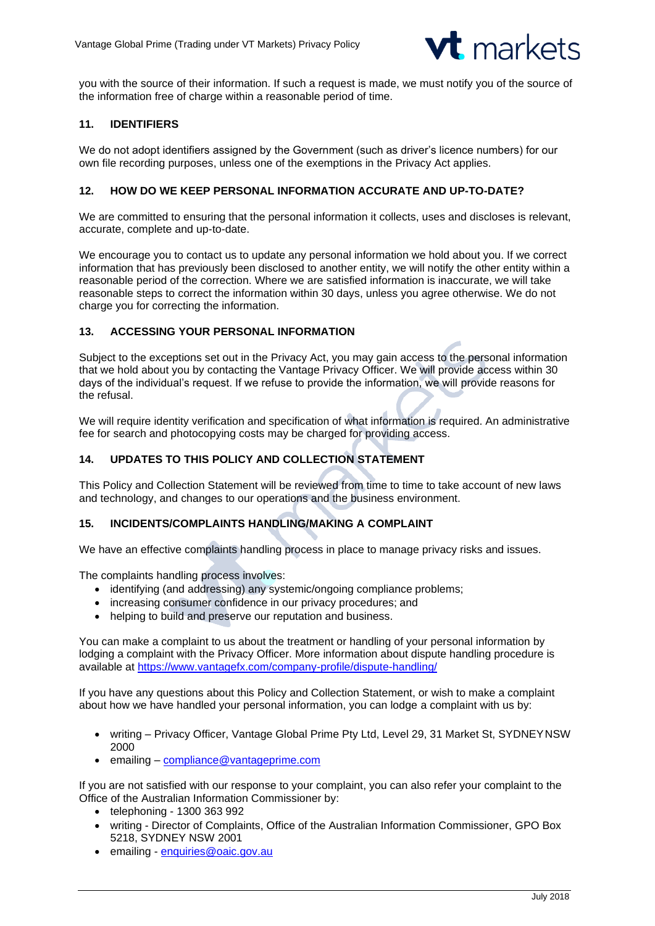

you with the source of their information. If such a request is made, we must notify you of the source of the information free of charge within a reasonable period of time.

### **11. IDENTIFIERS**

We do not adopt identifiers assigned by the Government (such as driver's licence numbers) for our own file recording purposes, unless one of the exemptions in the Privacy Act applies.

### **12. HOW DO WE KEEP PERSONAL INFORMATION ACCURATE AND UP-TO-DATE?**

We are committed to ensuring that the personal information it collects, uses and discloses is relevant, accurate, complete and up-to-date.

We encourage you to contact us to update any personal information we hold about you. If we correct information that has previously been disclosed to another entity, we will notify the other entity within a reasonable period of the correction. Where we are satisfied information is inaccurate, we will take reasonable steps to correct the information within 30 days, unless you agree otherwise. We do not charge you for correcting the information.

#### **13. ACCESSING YOUR PERSONAL INFORMATION**

Subject to the exceptions set out in the Privacy Act, you may gain access to the personal information that we hold about you by contacting the Vantage Privacy Officer. We will provide access within 30 days of the individual's request. If we refuse to provide the information, we will provide reasons for the refusal.

We will require identity verification and specification of what information is required. An administrative fee for search and photocopying costs may be charged for providing access.

### **14. UPDATES TO THIS POLICY AND COLLECTION STATEMENT**

This Policy and Collection Statement will be reviewed from time to time to take account of new laws and technology, and changes to our operations and the business environment.

#### **15. INCIDENTS/COMPLAINTS HANDLING/MAKING A COMPLAINT**

We have an effective complaints handling process in place to manage privacy risks and issues.

The complaints handling process involves:

- identifying (and addressing) any systemic/ongoing compliance problems;
- increasing consumer confidence in our privacy procedures; and
- helping to build and preserve our reputation and business.

You can make a complaint to us about the treatment or handling of your personal information by lodging a complaint with the Privacy Officer. More information about dispute handling procedure is available at<https://www.vantagefx.com/company-profile/dispute-handling/>

If you have any questions about this Policy and Collection Statement, or wish to make a complaint about how we have handled your personal information, you can lodge a complaint with us by:

- writing Privacy Officer, Vantage Global Prime Pty Ltd, Level 29, 31 Market St, SYDNEYNSW 2000
- emailing [compliance@vantageprime.com](mailto:compliance@vantageprime.com)

If you are not satisfied with our response to your complaint, you can also refer your complaint to the Office of the Australian Information Commissioner by:

- telephoning 1300 363 992
- writing Director of Complaints, Office of the Australian Information Commissioner, GPO Box 5218, SYDNEY NSW 2001
- emailing [enquiries@oaic.gov.au](mailto:enquiries@oaic.gov.au)